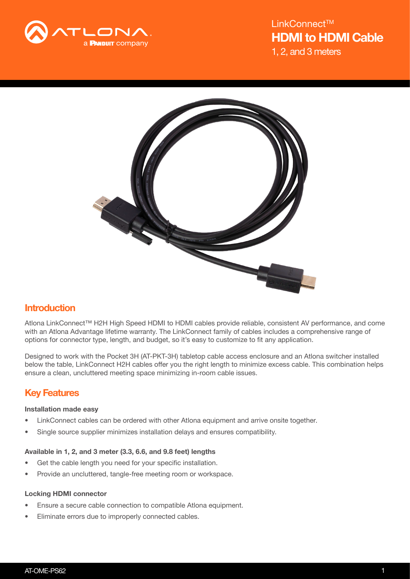



# **Introduction**

Atlona LinkConnect™ H2H High Speed HDMI to HDMI cables provide reliable, consistent AV performance, and come with an Atlona Advantage lifetime warranty. The LinkConnect family of cables includes a comprehensive range of options for connector type, length, and budget, so it's easy to customize to fit any application.

Designed to work with the Pocket 3H (AT-PKT-3H) tabletop cable access enclosure and an Atlona switcher installed below the table, LinkConnect H2H cables offer you the right length to minimize excess cable. This combination helps ensure a clean, uncluttered meeting space minimizing in-room cable issues.

# Key Features

## Installation made easy

- LinkConnect cables can be ordered with other Atlona equipment and arrive onsite together.
- Single source supplier minimizes installation delays and ensures compatibility.

## Available in 1, 2, and 3 meter (3.3, 6.6, and 9.8 feet) lengths

- Get the cable length you need for your specific installation.
- Provide an uncluttered, tangle-free meeting room or workspace.

### Locking HDMI connector

- Ensure a secure cable connection to compatible Atlona equipment.
- Eliminate errors due to improperly connected cables.